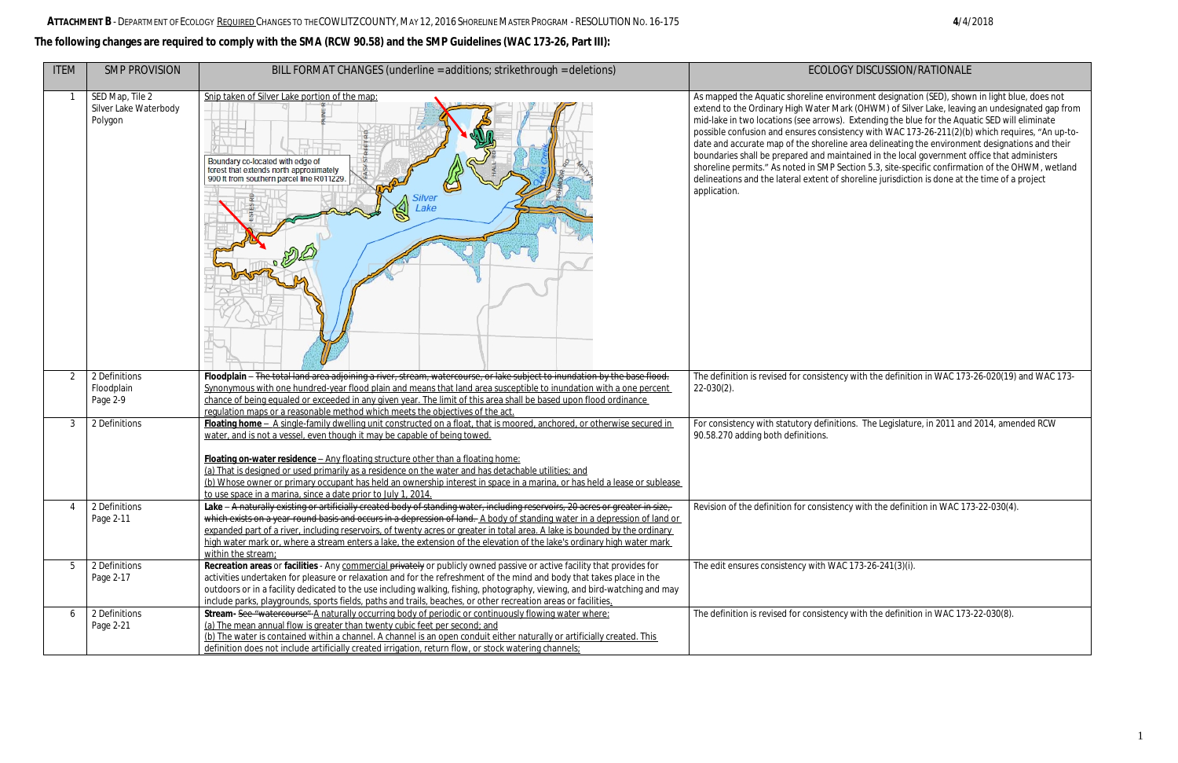## **The following changes are required to comply with the SMA (RCW 90.58) and the SMP Guidelines (WAC 173-26, Part III):**

| <b>ITEM</b>    | <b>SMP PROVISION</b>                                | BILL FORMAT CHANGES (underline = additions; strikethrough = deletions)                                                                                                                                                                                                                                                                                                                                                                                                                                                                                                                        | <b>ECOLOGY DI</b>                                                                                                                                                                                                                                                                                                                                                                                 |
|----------------|-----------------------------------------------------|-----------------------------------------------------------------------------------------------------------------------------------------------------------------------------------------------------------------------------------------------------------------------------------------------------------------------------------------------------------------------------------------------------------------------------------------------------------------------------------------------------------------------------------------------------------------------------------------------|---------------------------------------------------------------------------------------------------------------------------------------------------------------------------------------------------------------------------------------------------------------------------------------------------------------------------------------------------------------------------------------------------|
|                | SED Map, Tile 2<br>Silver Lake Waterbody<br>Polygon | Snip taken of Silver Lake portion of the map:<br>Boundary co-located with edge of<br>forest that extends north approximately<br>900 ft from southern parcel line R011229.<br>Silver<br>Lake                                                                                                                                                                                                                                                                                                                                                                                                   | As mapped the Aquatic shoreline environme<br>extend to the Ordinary High Water Mark (O<br>mid-lake in two locations (see arrows). Exte<br>possible confusion and ensures consistency<br>date and accurate map of the shoreline area<br>boundaries shall be prepared and maintaine<br>shoreline permits." As noted in SMP Section<br>delineations and the lateral extent of shorel<br>application. |
| 2              | 2 Definitions<br>Floodplain<br>Page 2-9             | Floodplain - The total land area adjoining a river, stream, watercourse, or lake subject to inundation by the base flood.<br>Synonymous with one hundred-year flood plain and means that land area susceptible to inundation with a one percent<br>chance of being equaled or exceeded in any given year. The limit of this area shall be based upon flood ordinance<br>regulation maps or a reasonable method which meets the objectives of the act.                                                                                                                                         | The definition is revised for consistency with<br>$22 - 030(2)$ .                                                                                                                                                                                                                                                                                                                                 |
| $\mathfrak{Z}$ | 2 Definitions                                       | Floating home - A single-family dwelling unit constructed on a float, that is moored, anchored, or otherwise secured in<br>water, and is not a vessel, even though it may be capable of being towed.<br>Floating on-water residence - Any floating structure other than a floating home:<br>(a) That is designed or used primarily as a residence on the water and has detachable utilities; and<br>(b) Whose owner or primary occupant has held an ownership interest in space in a marina, or has held a lease or sublease<br>to use space in a marina, since a date prior to July 1, 2014. | For consistency with statutory definitions. 1<br>90.58.270 adding both definitions.                                                                                                                                                                                                                                                                                                               |
| 4              | 2 Definitions<br>Page 2-11                          | Lake – A naturally existing or artificially created body of standing water, including reservoirs, 20 acres or greater in size,<br>which exists on a year-round basis and occurs in a depression of land. A body of standing water in a depression of land or<br>expanded part of a river, including reservoirs, of twenty acres or greater in total area. A lake is bounded by the ordinary<br>high water mark or, where a stream enters a lake, the extension of the elevation of the lake's ordinary high water mark<br>within the stream:                                                  | Revision of the definition for consistency wi                                                                                                                                                                                                                                                                                                                                                     |
| 5              | 2 Definitions<br>Page 2-17                          | Recreation areas or facilities - Any commercial privately or publicly owned passive or active facility that provides for<br>activities undertaken for pleasure or relaxation and for the refreshment of the mind and body that takes place in the<br>outdoors or in a facility dedicated to the use including walking, fishing, photography, viewing, and bird-watching and may<br>include parks, playgrounds, sports fields, paths and trails, beaches, or other recreation areas or facilities.                                                                                             | The edit ensures consistency with WAC 173                                                                                                                                                                                                                                                                                                                                                         |
| 6              | 2 Definitions<br>Page 2-21                          | Stream- See "watercourse" A naturally occurring body of periodic or continuously flowing water where:<br>(a) The mean annual flow is greater than twenty cubic feet per second; and<br>(b) The water is contained within a channel. A channel is an open conduit either naturally or artificially created. This<br>definition does not include artificially created irrigation, return flow, or stock watering channels;                                                                                                                                                                      | The definition is revised for consistency with                                                                                                                                                                                                                                                                                                                                                    |

## ISCUSSION/RATIONALE

nent designation (SED), shown in light blue, does not DHWM) of Silver Lake, leaving an undesignated gap from ending the blue for the Aquatic SED will eliminate y with WAC 173-26-211(2)(b) which requires, "An up-toa delineating the environment designations and their boundaries in the local government office that administers n 5.3, site-specific confirmation of the OHWM, wetland line jurisdiction is done at the time of a project

th the definition in WAC 173-26-020(19) and WAC 173-

The Legislature, in 2011 and 2014, amended RCW

with the definition in WAC 173-22-030(4).

 $\overline{3-26-241(3)(i)}$ .

In the definition in WAC  $173-22-030(8)$ .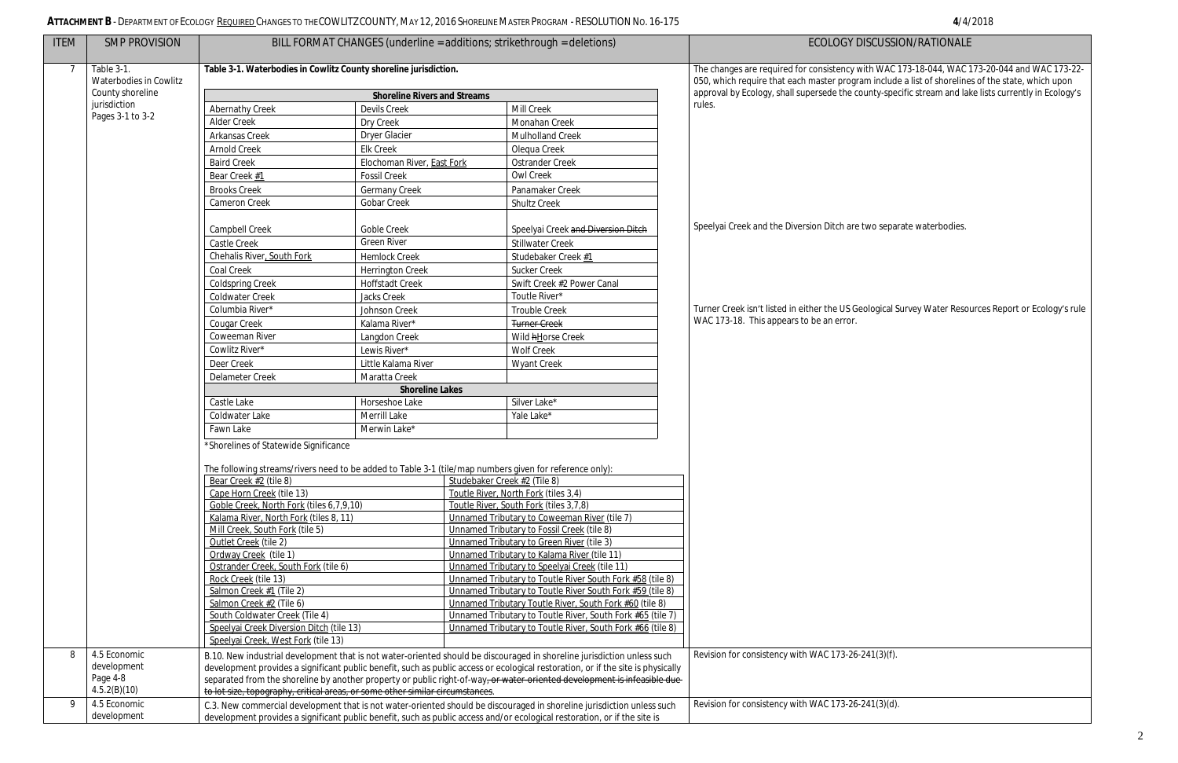## **ATTACHMENT B** -DEPARTMENT OF ECOLOGY REQUIRED CHANGES TO THE COWLITZ COUNTY, MAY 12, 2016 SHORELINE MASTER PROGRAM - RESOLUTIONNO. 16-175 **4**/4/2018

| <b>ITEM</b> | <b>SMP PROVISION</b>        |                                                                                                                                                                                                                                                             |                                                                                                                           |                              | BILL FORMAT CHANGES (underline = additions; strikethrough = deletions)                                                                                                                                                                              | <b>ECOLOGY DI</b>                              |  |
|-------------|-----------------------------|-------------------------------------------------------------------------------------------------------------------------------------------------------------------------------------------------------------------------------------------------------------|---------------------------------------------------------------------------------------------------------------------------|------------------------------|-----------------------------------------------------------------------------------------------------------------------------------------------------------------------------------------------------------------------------------------------------|------------------------------------------------|--|
|             | Table 3-1.                  | Table 3-1. Waterbodies in Cowlitz County shoreline jurisdiction.                                                                                                                                                                                            |                                                                                                                           |                              |                                                                                                                                                                                                                                                     | The changes are required for consistency wi    |  |
|             | Waterbodies in Cowlitz      |                                                                                                                                                                                                                                                             | 050, which require that each master progra                                                                                |                              |                                                                                                                                                                                                                                                     |                                                |  |
|             | County shoreline            |                                                                                                                                                                                                                                                             | approval by Ecology, shall supersede the cou                                                                              |                              |                                                                                                                                                                                                                                                     |                                                |  |
|             | jurisdiction                | <b>Abernathy Creek</b>                                                                                                                                                                                                                                      | <b>Shoreline Rivers and Streams</b><br>Devils Creek                                                                       |                              | Mill Creek                                                                                                                                                                                                                                          | rules.                                         |  |
|             | Pages 3-1 to 3-2            | <b>Alder Creek</b>                                                                                                                                                                                                                                          | Dry Creek                                                                                                                 |                              | Monahan Creek                                                                                                                                                                                                                                       |                                                |  |
|             |                             | Arkansas Creek                                                                                                                                                                                                                                              | <b>Dryer Glacier</b>                                                                                                      |                              | Mulholland Creek                                                                                                                                                                                                                                    |                                                |  |
|             |                             | Arnold Creek                                                                                                                                                                                                                                                | <b>Elk Creek</b>                                                                                                          |                              | Olequa Creek                                                                                                                                                                                                                                        |                                                |  |
|             |                             | <b>Baird Creek</b>                                                                                                                                                                                                                                          | Elochoman River, East Fork                                                                                                |                              | Ostrander Creek                                                                                                                                                                                                                                     |                                                |  |
|             |                             | Bear Creek #1                                                                                                                                                                                                                                               | <b>Fossil Creek</b>                                                                                                       |                              | Owl Creek                                                                                                                                                                                                                                           |                                                |  |
|             |                             | <b>Brooks Creek</b>                                                                                                                                                                                                                                         | <b>Germany Creek</b>                                                                                                      |                              | Panamaker Creek                                                                                                                                                                                                                                     |                                                |  |
|             |                             | Cameron Creek                                                                                                                                                                                                                                               | Gobar Creek                                                                                                               |                              | <b>Shultz Creek</b>                                                                                                                                                                                                                                 |                                                |  |
|             |                             | Campbell Creek                                                                                                                                                                                                                                              | Goble Creek                                                                                                               |                              | Speelyai Creek and Diversion Ditch                                                                                                                                                                                                                  | Speelyai Creek and the Diversion Ditch are t   |  |
|             |                             | Castle Creek                                                                                                                                                                                                                                                | <b>Green River</b>                                                                                                        |                              | <b>Stillwater Creek</b>                                                                                                                                                                                                                             |                                                |  |
|             |                             | Chehalis River, South Fork                                                                                                                                                                                                                                  | <b>Hemlock Creek</b>                                                                                                      |                              | Studebaker Creek #1                                                                                                                                                                                                                                 |                                                |  |
|             |                             | Coal Creek                                                                                                                                                                                                                                                  | Herrington Creek                                                                                                          |                              | <b>Sucker Creek</b>                                                                                                                                                                                                                                 |                                                |  |
|             |                             | <b>Coldspring Creek</b>                                                                                                                                                                                                                                     | <b>Hoffstadt Creek</b>                                                                                                    |                              | Swift Creek #2 Power Canal                                                                                                                                                                                                                          |                                                |  |
|             |                             | Coldwater Creek                                                                                                                                                                                                                                             | Jacks Creek                                                                                                               |                              | Toutle River*                                                                                                                                                                                                                                       |                                                |  |
|             |                             | Columbia River*                                                                                                                                                                                                                                             | Johnson Creek                                                                                                             |                              | <b>Trouble Creek</b>                                                                                                                                                                                                                                | Turner Creek isn't listed in either the US Geo |  |
|             |                             | Cougar Creek                                                                                                                                                                                                                                                | Kalama River*                                                                                                             |                              | <b>Turner Creek</b>                                                                                                                                                                                                                                 | WAC 173-18. This appears to be an error.       |  |
|             |                             | Coweeman River                                                                                                                                                                                                                                              | Langdon Creek                                                                                                             |                              | Wild hHorse Creek                                                                                                                                                                                                                                   |                                                |  |
|             |                             | Cowlitz River*                                                                                                                                                                                                                                              | Lewis River*                                                                                                              |                              | <b>Wolf Creek</b>                                                                                                                                                                                                                                   |                                                |  |
|             |                             | Deer Creek                                                                                                                                                                                                                                                  | Little Kalama River                                                                                                       |                              | <b>Wyant Creek</b>                                                                                                                                                                                                                                  |                                                |  |
|             |                             | Delameter Creek                                                                                                                                                                                                                                             | Maratta Creek                                                                                                             |                              |                                                                                                                                                                                                                                                     |                                                |  |
|             |                             |                                                                                                                                                                                                                                                             | <b>Shoreline Lakes</b>                                                                                                    |                              |                                                                                                                                                                                                                                                     |                                                |  |
|             |                             | Castle Lake                                                                                                                                                                                                                                                 | Horseshoe Lake                                                                                                            |                              | Silver Lake*                                                                                                                                                                                                                                        |                                                |  |
|             |                             | Coldwater Lake                                                                                                                                                                                                                                              | Merrill Lake                                                                                                              |                              | Yale Lake*                                                                                                                                                                                                                                          |                                                |  |
|             |                             | Fawn Lake                                                                                                                                                                                                                                                   | Merwin Lake*                                                                                                              |                              |                                                                                                                                                                                                                                                     |                                                |  |
|             |                             | *Shorelines of Statewide Significance                                                                                                                                                                                                                       |                                                                                                                           |                              |                                                                                                                                                                                                                                                     |                                                |  |
|             |                             |                                                                                                                                                                                                                                                             |                                                                                                                           |                              |                                                                                                                                                                                                                                                     |                                                |  |
|             |                             | The following streams/rivers need to be added to Table 3-1 (tile/map numbers given for reference only):                                                                                                                                                     |                                                                                                                           |                              |                                                                                                                                                                                                                                                     |                                                |  |
|             |                             | Bear Creek #2 (tile 8)                                                                                                                                                                                                                                      |                                                                                                                           | Studebaker Creek #2 (Tile 8) |                                                                                                                                                                                                                                                     |                                                |  |
|             |                             | Cape Horn Creek (tile 13)<br>Goble Creek, North Fork (tiles 6, 7, 9, 10)                                                                                                                                                                                    |                                                                                                                           |                              | Toutle River, North Fork (tiles 3,4)<br>Toutle River, South Fork (tiles 3,7,8)                                                                                                                                                                      |                                                |  |
|             |                             | Kalama River, North Fork (tiles 8, 11)                                                                                                                                                                                                                      |                                                                                                                           |                              | Unnamed Tributary to Coweeman River (tile 7)                                                                                                                                                                                                        |                                                |  |
|             |                             | Mill Creek, South Fork (tile 5)                                                                                                                                                                                                                             |                                                                                                                           |                              | Unnamed Tributary to Fossil Creek (tile 8)                                                                                                                                                                                                          |                                                |  |
|             |                             | Outlet Creek (tile 2)                                                                                                                                                                                                                                       |                                                                                                                           |                              | Unnamed Tributary to Green River (tile 3)                                                                                                                                                                                                           |                                                |  |
|             |                             | Ordway Creek (tile 1)                                                                                                                                                                                                                                       |                                                                                                                           |                              | Unnamed Tributary to Kalama River (tile 11)                                                                                                                                                                                                         |                                                |  |
|             |                             | Ostrander Creek, South Fork (tile 6)                                                                                                                                                                                                                        |                                                                                                                           |                              | Unnamed Tributary to Speelyai Creek (tile 11)                                                                                                                                                                                                       |                                                |  |
|             |                             | Rock Creek (tile 13)                                                                                                                                                                                                                                        |                                                                                                                           |                              | Unnamed Tributary to Toutle River South Fork #58 (tile 8)                                                                                                                                                                                           |                                                |  |
|             |                             | Salmon Creek #1 (Tile 2)                                                                                                                                                                                                                                    |                                                                                                                           |                              | Unnamed Tributary to Toutle River South Fork #59 (tile 8)                                                                                                                                                                                           |                                                |  |
|             |                             | Salmon Creek #2 (Tile 6)                                                                                                                                                                                                                                    |                                                                                                                           |                              | Unnamed Tributary Toutle River, South Fork #60 (tile 8)                                                                                                                                                                                             |                                                |  |
|             |                             | South Coldwater Creek (Tile 4)<br>Speelyai Creek Diversion Ditch (tile 13)                                                                                                                                                                                  |                                                                                                                           |                              | Unnamed Tributary to Toutle River, South Fork #65 (tile 7)<br>Unnamed Tributary to Toutle River, South Fork #66 (tile 8)                                                                                                                            |                                                |  |
|             |                             | Speelyai Creek, West Fork (tile 13)                                                                                                                                                                                                                         |                                                                                                                           |                              |                                                                                                                                                                                                                                                     |                                                |  |
| 8           | 4.5 Economic                |                                                                                                                                                                                                                                                             |                                                                                                                           |                              |                                                                                                                                                                                                                                                     | Revision for consistency with WAC 173-26-2     |  |
|             | development                 | B.10. New industrial development that is not water-oriented should be discouraged in shoreline jurisdiction unless such<br>development provides a significant public benefit, such as public access or ecological restoration, or if the site is physically |                                                                                                                           |                              |                                                                                                                                                                                                                                                     |                                                |  |
|             | Page 4-8                    |                                                                                                                                                                                                                                                             | separated from the shoreline by another property or public right-of-way, or water-oriented development is infeasible due- |                              |                                                                                                                                                                                                                                                     |                                                |  |
|             | 4.5.2(B)(10)                | to lot size, topography, critical areas, or some other similar circumstances.                                                                                                                                                                               |                                                                                                                           |                              |                                                                                                                                                                                                                                                     |                                                |  |
| 9           | 4.5 Economic<br>development |                                                                                                                                                                                                                                                             |                                                                                                                           |                              | C.3. New commercial development that is not water-oriented should be discouraged in shoreline jurisdiction unless such<br>development provides a significant public benefit, such as public access and/or ecological restoration, or if the site is | Revision for consistency with WAC 173-26-2     |  |

## ISCUSSION/RATIONALE

vith WAC 173-18-044, WAC 173-20-044 and WAC 173-22am include a list of shorelines of the state, which upon bunty-specific stream and lake lists currently in Ecology's

two separate waterbodies.

eological Survey Water Resources Report or Ecology's rule

 $\overline{241(3)(f)}$ .

 $\overline{241(3)(d)}$ .